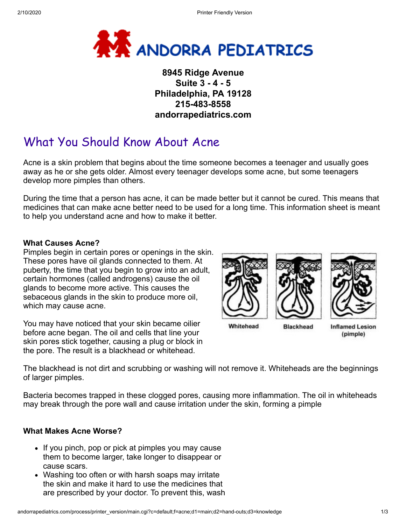

# **8945 Ridge Avenue Suite 3 - 4 - 5 Philadelphia, PA 19128 215-483-8558 andorrapediatrics.com**

# What You Should Know About Acne

Acne is a skin problem that begins about the time someone becomes a teenager and usually goes away as he or she gets older. Almost every teenager develops some acne, but some teenagers develop more pimples than others.

During the time that a person has acne, it can be made better but it cannot be cured. This means that medicines that can make acne better need to be used for a long time. This information sheet is meant to help you understand acne and how to make it better.

### **What Causes Acne?**

Pimples begin in certain pores or openings in the skin. These pores have oil glands connected to them. At puberty, the time that you begin to grow into an adult, certain hormones (called androgens) cause the oil glands to become more active. This causes the sebaceous glands in the skin to produce more oil, which may cause acne.

You may have noticed that your skin became oilier before acne began. The oil and cells that line your skin pores stick together, causing a plug or block in the pore. The result is a blackhead or whitehead.



(pimple)

The blackhead is not dirt and scrubbing or washing will not remove it. Whiteheads are the beginnings of larger pimples.

Bacteria becomes trapped in these clogged pores, causing more inflammation. The oil in whiteheads may break through the pore wall and cause irritation under the skin, forming a pimple

#### **What Makes Acne Worse?**

- If you pinch, pop or pick at pimples you may cause them to become larger, take longer to disappear or cause scars.
- Washing too often or with harsh soaps may irritate the skin and make it hard to use the medicines that are prescribed by your doctor. To prevent this, wash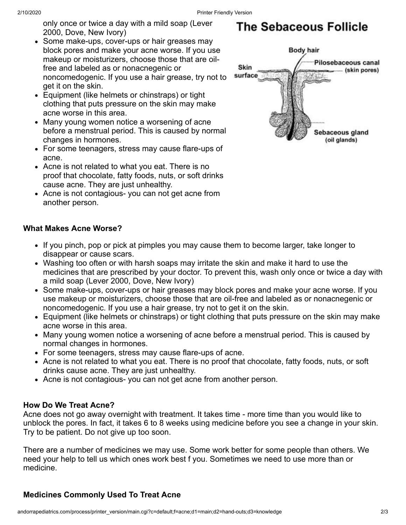only once or twice a day with a mild soap (Lever 2000, Dove, New Ivory)

- Some make-ups, cover-ups or hair greases may block pores and make your acne worse. If you use makeup or moisturizers, choose those that are oilfree and labeled as or nonacnegenic or noncomedogenic. If you use a hair grease, try not to get it on the skin.
- Equipment (like helmets or chinstraps) or tight clothing that puts pressure on the skin may make acne worse in this area.
- Many young women notice a worsening of acne before a menstrual period. This is caused by normal changes in hormones.
- For some teenagers, stress may cause flare-ups of acne.
- Acne is not related to what you eat. There is no proof that chocolate, fatty foods, nuts, or soft drinks cause acne. They are just unhealthy.
- Acne is not contagious- you can not get acne from another person.

## **What Makes Acne Worse?**

- If you pinch, pop or pick at pimples you may cause them to become larger, take longer to disappear or cause scars.
- Washing too often or with harsh soaps may irritate the skin and make it hard to use the medicines that are prescribed by your doctor. To prevent this, wash only once or twice a day with a mild soap (Lever 2000, Dove, New Ivory)
- Some make-ups, cover-ups or hair greases may block pores and make your acne worse. If you use makeup or moisturizers, choose those that are oil-free and labeled as or nonacnegenic or noncomedogenic. If you use a hair grease, try not to get it on the skin.
- Equipment (like helmets or chinstraps) or tight clothing that puts pressure on the skin may make acne worse in this area.
- Many young women notice a worsening of acne before a menstrual period. This is caused by normal changes in hormones.
- For some teenagers, stress may cause flare-ups of acne.
- Acne is not related to what you eat. There is no proof that chocolate, fatty foods, nuts, or soft drinks cause acne. They are just unhealthy.
- Acne is not contagious- you can not get acne from another person.

#### **How Do We Treat Acne?**

Acne does not go away overnight with treatment. It takes time - more time than you would like to unblock the pores. In fact, it takes 6 to 8 weeks using medicine before you see a change in your skin. Try to be patient. Do not give up too soon.

There are a number of medicines we may use. Some work better for some people than others. We need your help to tell us which ones work best f you. Sometimes we need to use more than or medicine.

# **Medicines Commonly Used To Treat Acne**

# **The Sebaceous Follicle**